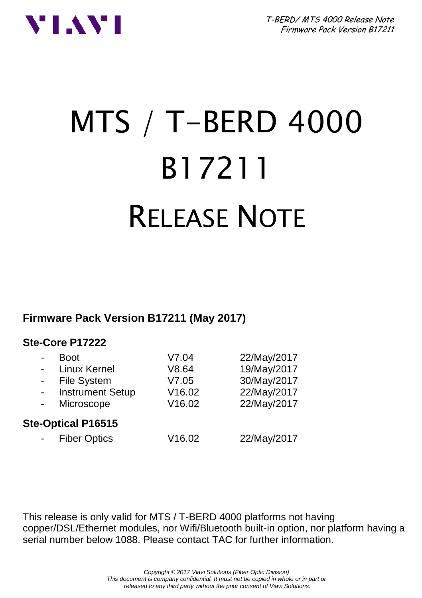



# MTS / T-BERD 4000 B17211 RELEASE NOTE

**Firmware Pack Version B17211 (May 2017)**

#### **Ste-Core P17222**

|                           | <b>Boot</b>             | V7.04  | 22/May/2017 |  |
|---------------------------|-------------------------|--------|-------------|--|
|                           | Linux Kernel            | V8.64  | 19/May/2017 |  |
|                           | File System             | V7.05  | 30/May/2017 |  |
|                           | <b>Instrument Setup</b> | V16.02 | 22/May/2017 |  |
|                           | Microscope              | V16.02 | 22/May/2017 |  |
| <b>Ste-Optical P16515</b> |                         |        |             |  |
|                           | <b>Fiber Optics</b>     | V16.02 | 22/May/2017 |  |
|                           |                         |        |             |  |

This release is only valid for MTS / T-BERD 4000 platforms not having copper/DSL/Ethernet modules, nor Wifi/Bluetooth built-in option, nor platform having a serial number below 1088. Please contact TAC for further information.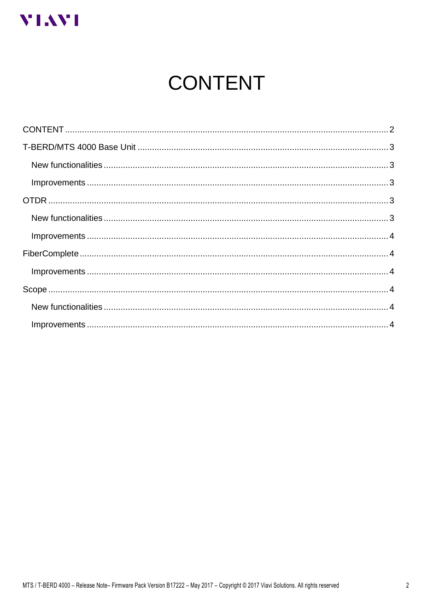<span id="page-1-0"></span>

# **CONTENT**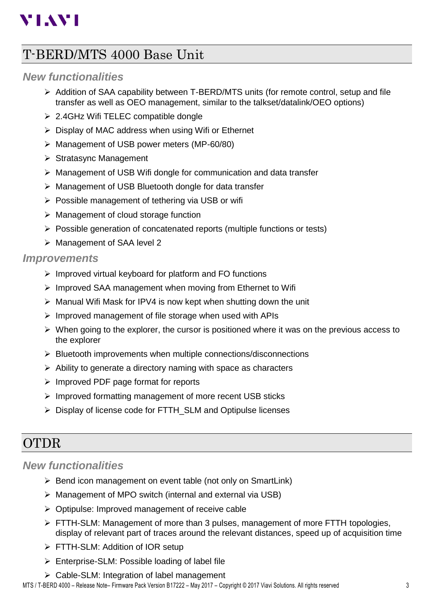# **VIAVI**

## <span id="page-2-0"></span>T-BERD/MTS 4000 Base Unit

#### <span id="page-2-1"></span>*New functionalities*

- ➢ Addition of SAA capability between T-BERD/MTS units (for remote control, setup and file transfer as well as OEO management, similar to the talkset/datalink/OEO options)
- ➢ 2.4GHz Wifi TELEC compatible dongle
- ➢ Display of MAC address when using Wifi or Ethernet
- ➢ Management of USB power meters (MP-60/80)
- ➢ Stratasync Management
- ➢ Management of USB Wifi dongle for communication and data transfer
- ➢ Management of USB Bluetooth dongle for data transfer
- ➢ Possible management of tethering via USB or wifi
- ➢ Management of cloud storage function
- ➢ Possible generation of concatenated reports (multiple functions or tests)
- ➢ Management of SAA level 2

#### <span id="page-2-2"></span>*Improvements*

- ➢ Improved virtual keyboard for platform and FO functions
- ➢ Improved SAA management when moving from Ethernet to Wifi
- ➢ Manual Wifi Mask for IPV4 is now kept when shutting down the unit
- ➢ Improved management of file storage when used with APIs
- $\triangleright$  When going to the explorer, the cursor is positioned where it was on the previous access to the explorer
- ➢ Bluetooth improvements when multiple connections/disconnections
- ➢ Ability to generate a directory naming with space as characters
- ➢ Improved PDF page format for reports
- ➢ Improved formatting management of more recent USB sticks
- ➢ Display of license code for FTTH\_SLM and Optipulse licenses

## <span id="page-2-3"></span>OTDR

#### <span id="page-2-4"></span>*New functionalities*

- ➢ Bend icon management on event table (not only on SmartLink)
- ➢ Management of MPO switch (internal and external via USB)
- ➢ Optipulse: Improved management of receive cable
- ➢ FTTH-SLM: Management of more than 3 pulses, management of more FTTH topologies, display of relevant part of traces around the relevant distances, speed up of acquisition time
- ➢ FTTH-SLM: Addition of IOR setup
- $\triangleright$  Enterprise-SLM: Possible loading of label file
- ➢ Cable-SLM: Integration of label management